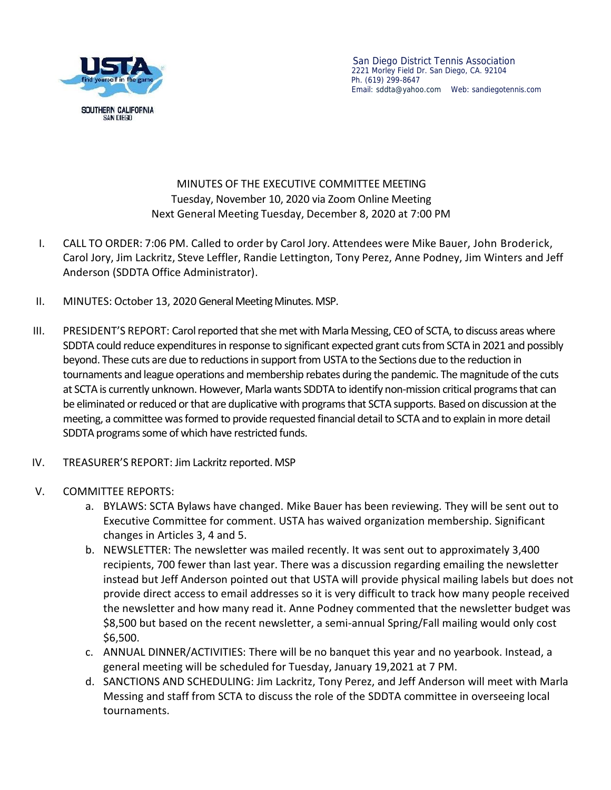

## MINUTES OF THE EXECUTIVE COMMITTEE MEETING Tuesday, November 10, 2020 via Zoom Online Meeting Next General Meeting Tuesday, December 8, 2020 at 7:00 PM

- I. CALL TO ORDER: 7:06 PM.Called to order by Carol Jory. Attendees were Mike Bauer, John Broderick, Carol Jory, Jim Lackritz, Steve Leffler, Randie Lettington, Tony Perez, Anne Podney, Jim Winters and Jeff Anderson (SDDTA Office Administrator).
- II. MINUTES: October 13, 2020 General Meeting Minutes. MSP.
- III. PRESIDENT'S REPORT: Carol reported that she met with Marla Messing, CEO of SCTA, to discuss areas where SDDTA could reduce expenditures in response to significant expected grant cuts from SCTA in 2021 and possibly beyond. These cuts are due to reductions in support from USTA to the Sections due to the reduction in tournaments and league operations and membership rebates during the pandemic. The magnitude of the cuts at SCTA is currently unknown. However, Marla wants SDDTA to identify non-mission critical programs that can be eliminated or reduced or that are duplicative with programs that SCTA supports. Based on discussion at the meeting, a committee was formed to provide requested financial detail to SCTA and to explain in more detail SDDTA programs some of which have restricted funds.
- IV. TREASURER'S REPORT: Jim Lackritz reported. MSP
- V. COMMITTEE REPORTS:
	- a. BYLAWS: SCTA Bylaws have changed. Mike Bauer has been reviewing. They will be sent out to Executive Committee for comment. USTA has waived organization membership. Significant changes in Articles 3, 4 and 5.
	- b. NEWSLETTER: The newsletter was mailed recently. It was sent out to approximately 3,400 recipients, 700 fewer than last year. There was a discussion regarding emailing the newsletter instead but Jeff Anderson pointed out that USTA will provide physical mailing labels but does not provide direct access to email addresses so it is very difficult to track how many people received the newsletter and how many read it. Anne Podney commented that the newsletter budget was \$8,500 but based on the recent newsletter, a semi-annual Spring/Fall mailing would only cost \$6,500.
	- c. ANNUAL DINNER/ACTIVITIES: There will be no banquet this year and no yearbook. Instead, a general meeting will be scheduled for Tuesday, January 19,2021 at 7 PM.
	- d. SANCTIONS AND SCHEDULING: Jim Lackritz, Tony Perez, and Jeff Anderson will meet with Marla Messing and staff from SCTA to discuss the role of the SDDTA committee in overseeing local tournaments.